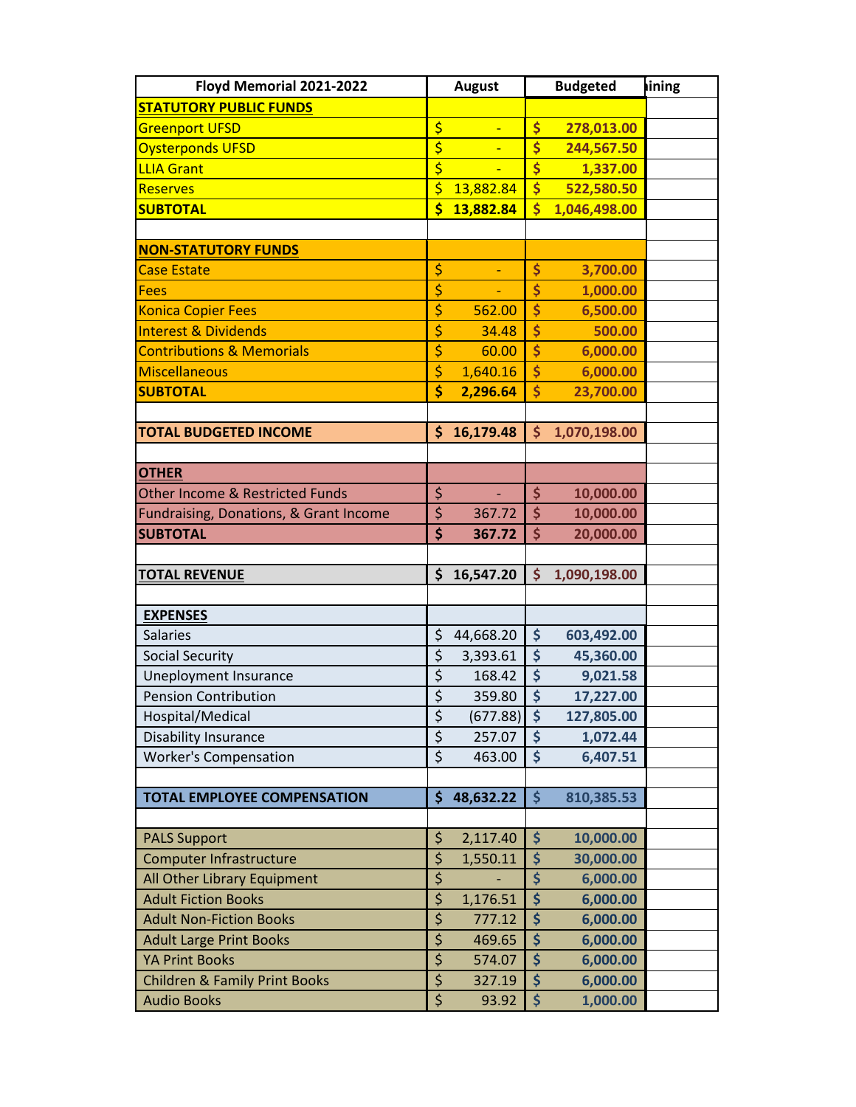| Floyd Memorial 2021-2022                                       | <b>August</b>                       |                | <b>Budgeted</b>                     |                      | ining |
|----------------------------------------------------------------|-------------------------------------|----------------|-------------------------------------|----------------------|-------|
| <b>STATUTORY PUBLIC FUNDS</b>                                  |                                     |                |                                     |                      |       |
| <b>Greenport UFSD</b>                                          | \$                                  | $\blacksquare$ | \$                                  | 278,013.00           |       |
| <b>Oysterponds UFSD</b>                                        | $\overline{\boldsymbol{\varsigma}}$ | Ξ              | \$                                  | 244,567.50           |       |
| <b>LLIA Grant</b>                                              | \$                                  |                | \$                                  | 1,337.00             |       |
| <b>Reserves</b>                                                | \$                                  | 13,882.84      | \$                                  | 522,580.50           |       |
| <b>SUBTOTAL</b>                                                | $\overline{\mathsf{S}}$             | 13,882.84      | $\overline{\mathsf{s}}$             | 1,046,498.00         |       |
|                                                                |                                     |                |                                     |                      |       |
| <b>NON-STATUTORY FUNDS</b>                                     |                                     |                |                                     |                      |       |
| <b>Case Estate</b>                                             | \$                                  |                | \$                                  | 3,700.00             |       |
| Fees                                                           | \$                                  |                | \$                                  | 1,000.00             |       |
| <b>Konica Copier Fees</b>                                      | \$                                  | 562.00         | \$                                  | 6,500.00             |       |
| <b>Interest &amp; Dividends</b>                                | \$                                  | 34.48          | \$                                  | 500.00               |       |
| <b>Contributions &amp; Memorials</b>                           | \$                                  | 60.00          | \$                                  | 6,000.00             |       |
| <b>Miscellaneous</b>                                           | $\overline{\boldsymbol{\varsigma}}$ | 1,640.16       | \$                                  | 6,000.00             |       |
| <b>SUBTOTAL</b>                                                | \$                                  | 2,296.64       | \$                                  | 23,700.00            |       |
|                                                                |                                     |                |                                     |                      |       |
| <b>TOTAL BUDGETED INCOME</b>                                   | \$                                  | 16,179.48      | \$                                  | 1,070,198.00         |       |
|                                                                |                                     |                |                                     |                      |       |
| <b>OTHER</b>                                                   |                                     |                |                                     |                      |       |
| <b>Other Income &amp; Restricted Funds</b>                     | \$                                  | ٠              | \$                                  | 10,000.00            |       |
| Fundraising, Donations, & Grant Income                         | \$                                  | 367.72         | $\overline{\boldsymbol{\zeta}}$     | 10,000.00            |       |
| <b>SUBTOTAL</b>                                                | \$                                  | 367.72         | \$                                  | 20,000.00            |       |
|                                                                |                                     |                |                                     |                      |       |
| <b>TOTAL REVENUE</b>                                           | \$                                  | 16,547.20      | \$                                  | 1,090,198.00         |       |
|                                                                |                                     |                |                                     |                      |       |
| <b>EXPENSES</b>                                                |                                     |                |                                     |                      |       |
| <b>Salaries</b>                                                | \$                                  | 44,668.20      | \$                                  | 603,492.00           |       |
| <b>Social Security</b>                                         | \$                                  | 3,393.61       | \$                                  | 45,360.00            |       |
| Uneployment Insurance                                          | \$                                  | 168.42         | \$                                  | 9,021.58             |       |
| <b>Pension Contribution</b>                                    | $\overline{\xi}$                    | 359.80         | \$                                  | 17,227.00            |       |
| Hospital/Medical                                               | \$                                  | (677.88)       | \$                                  | 127,805.00           |       |
| <b>Disability Insurance</b>                                    |                                     |                |                                     |                      |       |
|                                                                | \$                                  | 257.07         | \$                                  | 1,072.44             |       |
| <b>Worker's Compensation</b>                                   | $\overline{\xi}$                    | 463.00         | \$                                  | 6,407.51             |       |
|                                                                |                                     |                |                                     |                      |       |
| <b>TOTAL EMPLOYEE COMPENSATION</b>                             | \$                                  | 48,632.22      | \$                                  | 810,385.53           |       |
|                                                                |                                     |                |                                     |                      |       |
| <b>PALS Support</b>                                            | \$                                  | 2,117.40       | \$                                  | 10,000.00            |       |
| <b>Computer Infrastructure</b>                                 | \$                                  | 1,550.11       | \$                                  | 30,000.00            |       |
| All Other Library Equipment                                    | \$                                  |                | \$                                  | 6,000.00             |       |
| <b>Adult Fiction Books</b>                                     | $\overline{\boldsymbol{\varsigma}}$ | 1,176.51       | $\overline{\boldsymbol{\varsigma}}$ | 6,000.00             |       |
| <b>Adult Non-Fiction Books</b>                                 | \$                                  | 777.12         | \$                                  | 6,000.00             |       |
| <b>Adult Large Print Books</b>                                 | \$                                  | 469.65         | \$                                  | 6,000.00             |       |
| <b>YA Print Books</b>                                          | \$                                  | 574.07         | \$                                  | 6,000.00             |       |
| <b>Children &amp; Family Print Books</b><br><b>Audio Books</b> | \$<br>\$                            | 327.19         | \$<br>\$                            | 6,000.00<br>1,000.00 |       |